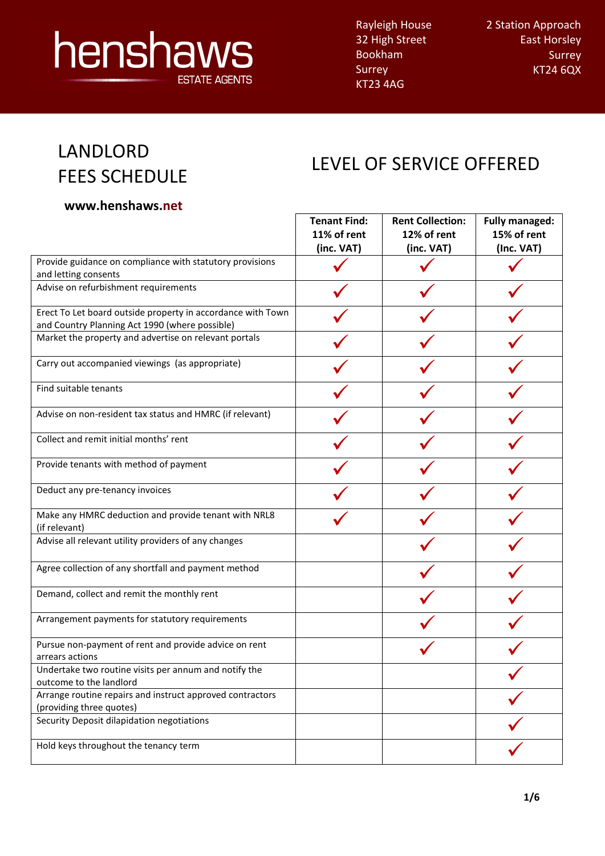# henshaws **ESTATE AGENTS**

Rayleigh House 32 High Street Bookham Surrey KT23 4AG

2 Station Approach East Horsley Surrey KT24 6QX

 $\overline{\phantom{a}}$ 

### LANDLORD FEES SCHEDULE

### LEVEL OF SERVICE OFFERED

#### **www.henshaws.net**

|                                                                                                               | <b>Tenant Find:</b>       | <b>Rent Collection:</b>   | <b>Fully managed:</b>     |
|---------------------------------------------------------------------------------------------------------------|---------------------------|---------------------------|---------------------------|
|                                                                                                               | 11% of rent<br>(inc. VAT) | 12% of rent<br>(inc. VAT) | 15% of rent<br>(Inc. VAT) |
| Provide guidance on compliance with statutory provisions                                                      |                           |                           |                           |
| and letting consents                                                                                          |                           |                           |                           |
| Advise on refurbishment requirements                                                                          |                           |                           |                           |
| Erect To Let board outside property in accordance with Town<br>and Country Planning Act 1990 (where possible) |                           |                           |                           |
| Market the property and advertise on relevant portals                                                         |                           |                           |                           |
| Carry out accompanied viewings (as appropriate)                                                               |                           |                           |                           |
| Find suitable tenants                                                                                         |                           |                           |                           |
| Advise on non-resident tax status and HMRC (if relevant)                                                      |                           |                           |                           |
| Collect and remit initial months' rent                                                                        |                           |                           |                           |
| Provide tenants with method of payment                                                                        |                           |                           |                           |
| Deduct any pre-tenancy invoices                                                                               |                           |                           |                           |
| Make any HMRC deduction and provide tenant with NRL8<br>(if relevant)                                         |                           |                           |                           |
| Advise all relevant utility providers of any changes                                                          |                           |                           |                           |
| Agree collection of any shortfall and payment method                                                          |                           |                           |                           |
| Demand, collect and remit the monthly rent                                                                    |                           |                           |                           |
| Arrangement payments for statutory requirements                                                               |                           |                           |                           |
| Pursue non-payment of rent and provide advice on rent                                                         |                           |                           |                           |
| arrears actions<br>Undertake two routine visits per annum and notify the                                      |                           |                           |                           |
| outcome to the landlord                                                                                       |                           |                           |                           |
| Arrange routine repairs and instruct approved contractors<br>(providing three quotes)                         |                           |                           |                           |
| Security Deposit dilapidation negotiations                                                                    |                           |                           |                           |
| Hold keys throughout the tenancy term                                                                         |                           |                           |                           |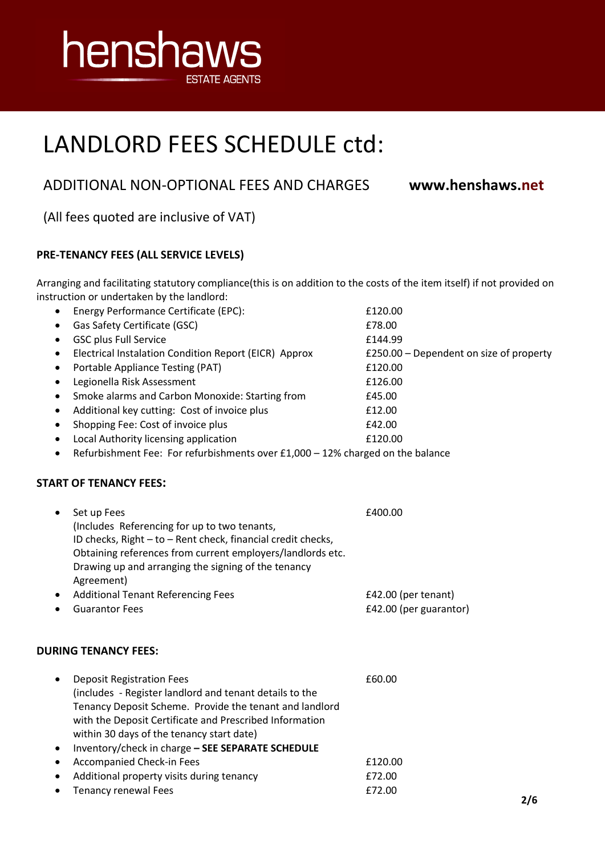

### ADDITIONAL NON-OPTIONAL FEES AND CHARGES **www.henshaws.net**

(All fees quoted are inclusive of VAT)

#### **PRE-TENANCY FEES (ALL SERVICE LEVELS)**

Arranging and facilitating statutory compliance(this is on addition to the costs of the item itself) if not provided on instruction or undertaken by the landlord:

| ٠                                                                                           | Energy Performance Certificate (EPC):                        | £120.00                                 |  |
|---------------------------------------------------------------------------------------------|--------------------------------------------------------------|-----------------------------------------|--|
|                                                                                             | Gas Safety Certificate (GSC)                                 | £78.00                                  |  |
|                                                                                             | <b>GSC plus Full Service</b>                                 | £144.99                                 |  |
|                                                                                             | Electrical Instalation Condition Report (EICR) Approx        | £250.00 - Dependent on size of property |  |
|                                                                                             | Portable Appliance Testing (PAT)                             | £120.00                                 |  |
|                                                                                             | Legionella Risk Assessment                                   | £126.00                                 |  |
|                                                                                             | Smoke alarms and Carbon Monoxide: Starting from              | £45.00                                  |  |
|                                                                                             | Additional key cutting: Cost of invoice plus                 | £12.00                                  |  |
| $\bullet$                                                                                   | Shopping Fee: Cost of invoice plus                           | £42.00                                  |  |
|                                                                                             | Local Authority licensing application                        | £120.00                                 |  |
| Refurbishment Fee: For refurbishments over £1,000 - 12% charged on the balance<br>$\bullet$ |                                                              |                                         |  |
|                                                                                             | <b>START OF TENANCY FEES:</b>                                |                                         |  |
| $\bullet$                                                                                   | Set up Fees                                                  | £400.00                                 |  |
|                                                                                             | (Includes Referencing for up to two tenants,                 |                                         |  |
|                                                                                             | ID checks, Right - to - Rent check, financial credit checks, |                                         |  |
|                                                                                             | Obtaining references from current employers/landlords etc.   |                                         |  |
|                                                                                             | Drawing up and arranging the signing of the tenancy          |                                         |  |
|                                                                                             | Agreement)                                                   |                                         |  |
|                                                                                             | <b>Additional Tenant Referencing Fees</b>                    | £42.00 (per tenant)                     |  |
|                                                                                             | <b>Guarantor Fees</b>                                        | £42.00 (per guarantor)                  |  |
|                                                                                             | <b>DURING TENANCY FEES:</b>                                  |                                         |  |
|                                                                                             | <b>Deposit Registration Fees</b>                             | £60.00                                  |  |
|                                                                                             | (includes - Register landlord and tenant details to the      |                                         |  |
|                                                                                             | Tenancy Deposit Scheme. Provide the tenant and landlord      |                                         |  |
|                                                                                             | with the Deposit Certificate and Prescribed Information      |                                         |  |
|                                                                                             | within 30 days of the tenancy start date)                    |                                         |  |
|                                                                                             | Inventory/check in charge - SEE SEPARATE SCHEDULE            |                                         |  |
| $\bullet$                                                                                   | Accompanied Check-in Fees                                    | £120.00                                 |  |
|                                                                                             | Additional property visits during tenancy                    | £72.00                                  |  |
|                                                                                             | <b>Tenancy renewal Fees</b>                                  | £72.00<br>2/6                           |  |
|                                                                                             |                                                              |                                         |  |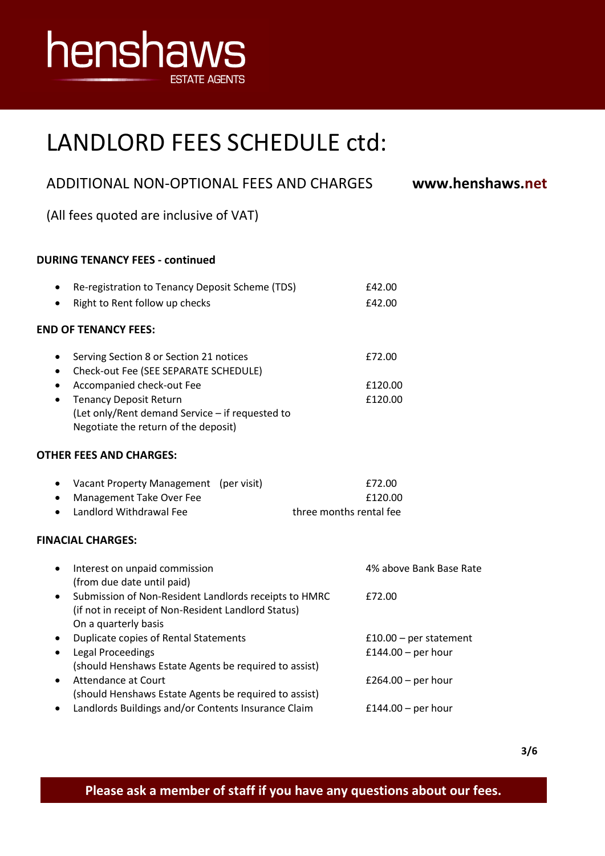

| ADDITIONAL NON-OPTIONAL FEES AND CHARGES                                                                                                                                                                                                                                      | www.henshaws.net                               |
|-------------------------------------------------------------------------------------------------------------------------------------------------------------------------------------------------------------------------------------------------------------------------------|------------------------------------------------|
| (All fees quoted are inclusive of VAT)                                                                                                                                                                                                                                        |                                                |
| <b>DURING TENANCY FEES - continued</b>                                                                                                                                                                                                                                        |                                                |
| Re-registration to Tenancy Deposit Scheme (TDS)<br>$\bullet$<br>Right to Rent follow up checks<br>$\bullet$                                                                                                                                                                   | £42.00<br>£42.00                               |
| <b>END OF TENANCY FEES:</b>                                                                                                                                                                                                                                                   |                                                |
| Serving Section 8 or Section 21 notices<br>٠<br>Check-out Fee (SEE SEPARATE SCHEDULE)<br>$\bullet$<br>Accompanied check-out Fee<br>٠<br><b>Tenancy Deposit Return</b><br>$\bullet$<br>(Let only/Rent demand Service - if requested to<br>Negotiate the return of the deposit) | £72.00<br>£120.00<br>£120.00                   |
| <b>OTHER FEES AND CHARGES:</b>                                                                                                                                                                                                                                                |                                                |
| Vacant Property Management (per visit)<br>٠<br>Management Take Over Fee<br>$\bullet$<br>Landlord Withdrawal Fee<br>$\bullet$                                                                                                                                                  | £72.00<br>£120.00<br>three months rental fee   |
| <b>FINACIAL CHARGES:</b>                                                                                                                                                                                                                                                      |                                                |
| Interest on unpaid commission<br>$\bullet$<br>(from due date until paid)<br>Submission of Non-Resident Landlords receipts to HMRC<br>$\bullet$<br>(if not in receipt of Non-Resident Landlord Status)<br>On a quarterly basis                                                 | 4% above Bank Base Rate<br>£72.00              |
| Duplicate copies of Rental Statements<br><b>Legal Proceedings</b><br>$\bullet$<br>(should Henshaws Estate Agents be required to assist)                                                                                                                                       | $£10.00 - per statement$<br>£144.00 - per hour |
| <b>Attendance at Court</b><br>$\bullet$<br>(should Henshaws Estate Agents be required to assist)<br>Landlords Buildings and/or Contents Insurance Claim<br>٠                                                                                                                  | £264.00 - per hour<br>$£144.00 - per hour$     |
|                                                                                                                                                                                                                                                                               |                                                |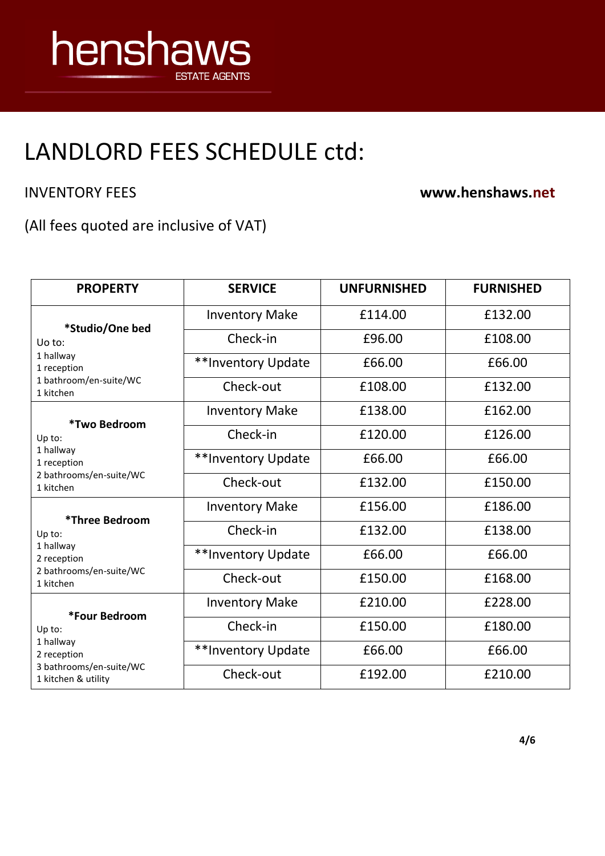

INVENTORY FEES **www.henshaws.net**

(All fees quoted are inclusive of VAT)

| <b>PROPERTY</b>                                | <b>SERVICE</b>        | <b>UNFURNISHED</b> | <b>FURNISHED</b> |
|------------------------------------------------|-----------------------|--------------------|------------------|
| *Studio/One bed                                | <b>Inventory Make</b> | £114.00            | £132.00          |
| Uo to:                                         | Check-in              | £96.00             | £108.00          |
| 1 hallway<br>1 reception                       | **Inventory Update    | £66.00             | £66.00           |
| 1 bathroom/en-suite/WC<br>1 kitchen            | Check-out             | £108.00            | £132.00          |
| *Two Bedroom                                   | <b>Inventory Make</b> | £138.00            | £162.00          |
| Up to:                                         | Check-in              | £120.00            | £126.00          |
| 1 hallway<br>1 reception                       | **Inventory Update    | £66.00             | £66.00           |
| 2 bathrooms/en-suite/WC<br>1 kitchen           | Check-out             | £132.00            | £150.00          |
| *Three Bedroom                                 | <b>Inventory Make</b> | £156.00            | £186.00          |
| Up to:                                         | Check-in              | £132.00            | £138.00          |
| 1 hallway<br>2 reception                       | **Inventory Update    | £66.00             | £66.00           |
| 2 bathrooms/en-suite/WC<br>1 kitchen           | Check-out             | £150.00            | £168.00          |
| *Four Bedroom                                  | <b>Inventory Make</b> | £210.00            | £228.00          |
| Up to:                                         | Check-in              | £150.00            | £180.00          |
| 1 hallway<br>2 reception                       | **Inventory Update    | £66.00             | £66.00           |
| 3 bathrooms/en-suite/WC<br>1 kitchen & utility | Check-out             | £192.00            | £210.00          |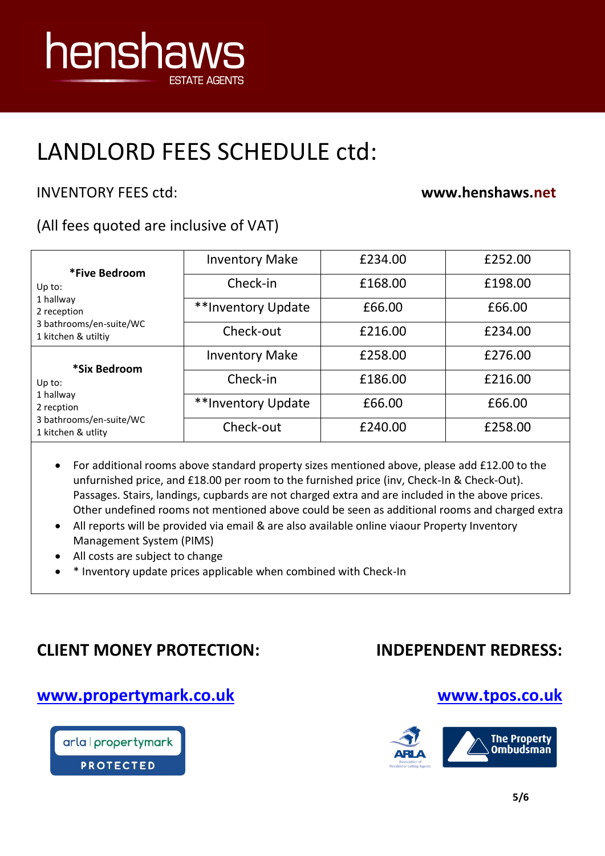

### INVENTORY FEES ctd: **www.henshaws.net**

### (All fees quoted are inclusive of VAT)

| *Five Bedroom                                  | <b>Inventory Make</b> | £234.00 | £252.00 |
|------------------------------------------------|-----------------------|---------|---------|
| Up to:                                         | Check-in              | £168.00 | £198.00 |
| 1 hallway<br>2 reception                       | **Inventory Update    | £66.00  | £66.00  |
| 3 bathrooms/en-suite/WC<br>1 kitchen & utiltiy | Check-out             | £216.00 | £234.00 |
| *Six Bedroom                                   | <b>Inventory Make</b> | £258.00 | £276.00 |
| Up to:                                         | Check-in              | £186.00 | £216.00 |
| 1 hallway<br>2 recption                        | **Inventory Update    | £66.00  | £66.00  |
| 3 bathrooms/en-suite/WC<br>1 kitchen & utlity  | Check-out             | £240.00 | £258.00 |

- For additional rooms above standard property sizes mentioned above, please add £12.00 to the unfurnished price, and £18.00 per room to the furnished price (inv, Check-In & Check-Out). Passages. Stairs, landings, cupbards are not charged extra and are included in the above prices. Other undefined rooms not mentioned above could be seen as additional rooms and charged extra
- All reports will be provided via email & are also available online viaour Property Inventory Management System (PIMS)
- All costs are subject to change
- \* Inventory update prices applicable when combined with Check-In

### **CLIENT MONEY PROTECTION:**

### **INDEPENDENT REDRESS:**

### **[www.propertymark.co.uk](http://www.propertymark.co.uk/)**



### **[www.tpos.co.uk](http://www.tpos.co.uk/)**